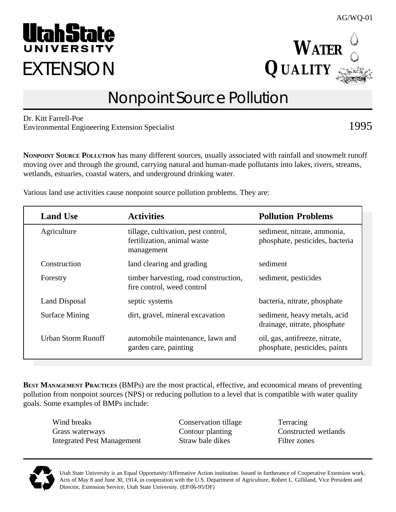Utah State University is an Equal Opportunity/Affirmative Action institution. Issued in furtherance of Cooperative Extension work, Acts of May 8 and June 30, 1914, in cooperation with the U.S. Department of Agriculture, Robert L. Gilliland, Vice President and Director, Extension Service, Utah State University. (EP/06-95/DF)

# Nonpoint Source Pollution

Dr. Kitt Farrell-Poe Environmental Engineering Extension Specialist 1995

**NONPOINT SOURCE POLLUTION** has many different sources, usually associated with rainfall and snowmelt runoff moving over and through the ground, carrying natural and human-made pollutants into lakes, rivers, streams, wetlands, estuaries, coastal waters, and underground drinking water.

Various land use activities cause nonpoint source pollution problems. They are:

| <b>BEST MANAGEMENT PRACTICES (BMPs) are the most practical, effective, and economical means of preventing</b> |
|---------------------------------------------------------------------------------------------------------------|
| pollution from nonpoint sources (NPS) or reducing pollution to a level that is compatible with water quality  |
| goals. Some examples of BMPs include:                                                                         |

Wind breaks Conservation tillage Terracing Grass waterways Contour planting Constructed wetlands Integrated Pest Management Straw bale dikes Filter zones

| <b>Land Use</b>    | <b>Activities</b>                                                                | <b>Pollution Problems</b>                                       |
|--------------------|----------------------------------------------------------------------------------|-----------------------------------------------------------------|
| Agriculture        | tillage, cultivation, pest control,<br>fertilization, animal waste<br>management | sediment, nitrate, ammonia,<br>phosphate, pesticides, bacteria  |
| Construction       | land clearing and grading                                                        | sediment                                                        |
| Forestry           | timber harvesting, road construction,<br>fire control, weed control              | sediment, pesticides                                            |
| Land Disposal      | septic systems                                                                   | bacteria, nitrate, phosphate                                    |
| Surface Mining     | dirt, gravel, mineral excavation                                                 | sediment, heavy metals, acid<br>drainage, nitrate, phosphate    |
| Urban Storm Runoff | automobile maintenance, lawn and<br>garden care, painting                        | oil, gas, antifreeze, nitrate,<br>phosphate, pesticides, paints |